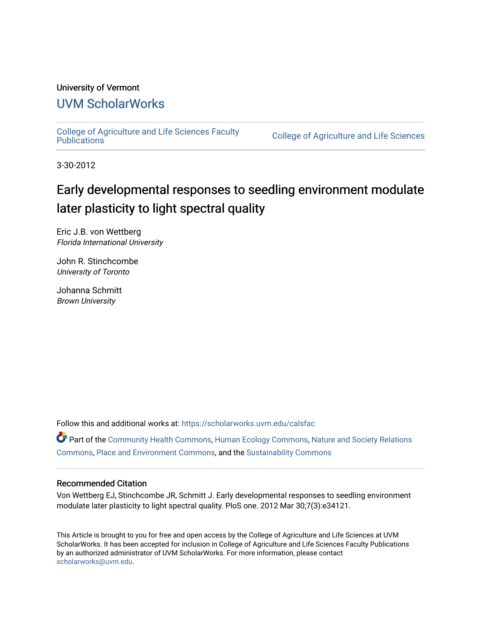# University of Vermont

# [UVM ScholarWorks](https://scholarworks.uvm.edu/)

[College of Agriculture and Life Sciences Faculty](https://scholarworks.uvm.edu/calsfac) 

**College of Agriculture and Life Sciences** 

3-30-2012

# Early developmental responses to seedling environment modulate later plasticity to light spectral quality

Eric J.B. von Wettberg Florida International University

John R. Stinchcombe University of Toronto

Johanna Schmitt Brown University

Follow this and additional works at: [https://scholarworks.uvm.edu/calsfac](https://scholarworks.uvm.edu/calsfac?utm_source=scholarworks.uvm.edu%2Fcalsfac%2F66&utm_medium=PDF&utm_campaign=PDFCoverPages)

Part of the [Community Health Commons,](http://network.bepress.com/hgg/discipline/714?utm_source=scholarworks.uvm.edu%2Fcalsfac%2F66&utm_medium=PDF&utm_campaign=PDFCoverPages) [Human Ecology Commons](http://network.bepress.com/hgg/discipline/1335?utm_source=scholarworks.uvm.edu%2Fcalsfac%2F66&utm_medium=PDF&utm_campaign=PDFCoverPages), [Nature and Society Relations](http://network.bepress.com/hgg/discipline/357?utm_source=scholarworks.uvm.edu%2Fcalsfac%2F66&utm_medium=PDF&utm_campaign=PDFCoverPages)  [Commons](http://network.bepress.com/hgg/discipline/357?utm_source=scholarworks.uvm.edu%2Fcalsfac%2F66&utm_medium=PDF&utm_campaign=PDFCoverPages), [Place and Environment Commons](http://network.bepress.com/hgg/discipline/424?utm_source=scholarworks.uvm.edu%2Fcalsfac%2F66&utm_medium=PDF&utm_campaign=PDFCoverPages), and the [Sustainability Commons](http://network.bepress.com/hgg/discipline/1031?utm_source=scholarworks.uvm.edu%2Fcalsfac%2F66&utm_medium=PDF&utm_campaign=PDFCoverPages)

# Recommended Citation

Von Wettberg EJ, Stinchcombe JR, Schmitt J. Early developmental responses to seedling environment modulate later plasticity to light spectral quality. PloS one. 2012 Mar 30;7(3):e34121.

This Article is brought to you for free and open access by the College of Agriculture and Life Sciences at UVM ScholarWorks. It has been accepted for inclusion in College of Agriculture and Life Sciences Faculty Publications by an authorized administrator of UVM ScholarWorks. For more information, please contact [scholarworks@uvm.edu](mailto:scholarworks@uvm.edu).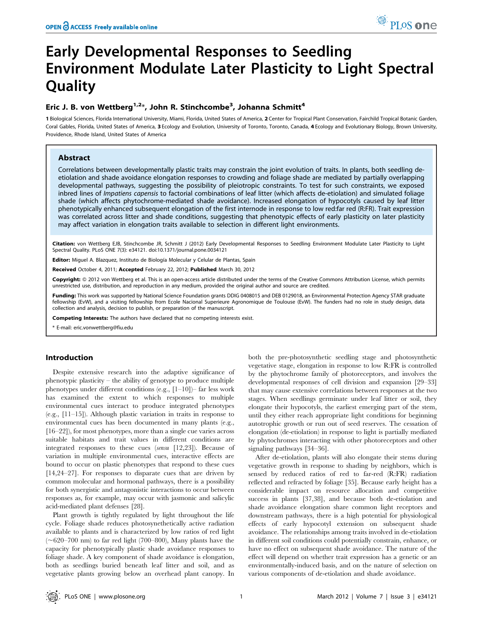# Early Developmental Responses to Seedling Environment Modulate Later Plasticity to Light Spectral **Quality**

# Eric J. B. von Wettberg<sup>1,2</sup>\*, John R. Stinchcombe<sup>3</sup>, Johanna Schmitt<sup>4</sup>

1 Biological Sciences, Florida International University, Miami, Florida, United States of America, 2 Center for Tropical Plant Conservation, Fairchild Tropical Botanic Garden, Coral Gables, Florida, United States of America, 3 Ecology and Evolution, University of Toronto, Toronto, Canada, 4 Ecology and Evolutionary Biology, Brown University, Providence, Rhode Island, United States of America

# Abstract

Correlations between developmentally plastic traits may constrain the joint evolution of traits. In plants, both seedling deetiolation and shade avoidance elongation responses to crowding and foliage shade are mediated by partially overlapping developmental pathways, suggesting the possibility of pleiotropic constraints. To test for such constraints, we exposed inbred lines of Impatiens capensis to factorial combinations of leaf litter (which affects de-etiolation) and simulated foliage shade (which affects phytochrome-mediated shade avoidance). Increased elongation of hypocotyls caused by leaf litter phenotypically enhanced subsequent elongation of the first internode in response to low red:far red (R:FR). Trait expression was correlated across litter and shade conditions, suggesting that phenotypic effects of early plasticity on later plasticity may affect variation in elongation traits available to selection in different light environments.

Citation: von Wettberg EJB, Stinchcombe JR, Schmitt J (2012) Early Developmental Responses to Seedling Environment Modulate Later Plasticity to Light Spectral Quality. PLoS ONE 7(3): e34121. doi:10.1371/journal.pone.0034121

Editor: Miquel A. Blazquez, Instituto de Biología Molecular y Celular de Plantas, Spain

Received October 4, 2011; Accepted February 22, 2012; Published March 30, 2012

Copyright: © 2012 von Wettberg et al. This is an open-access article distributed under the terms of the Creative Commons Attribution License, which permits unrestricted use, distribution, and reproduction in any medium, provided the original author and source are credited.

Funding: This work was supported by National Science Foundation grants DDIG 0408015 and DEB 0129018, an Environmental Protection Agency STAR graduate fellowship (EvW), and a visiting fellowship from Ecole Nacional Superieure Agronomique de Toulouse (EvW). The funders had no role in study design, data collection and analysis, decision to publish, or preparation of the manuscript.

Competing Interests: The authors have declared that no competing interests exist.

\* E-mail: eric.vonwettberg@fiu.edu

## Introduction

Despite extensive research into the adaptive significance of phenotypic plasticity – the ability of genotype to produce multiple phenotypes under different conditions (e.g., [1–10])– far less work has examined the extent to which responses to multiple environmental cues interact to produce integrated phenotypes (e.g., [11–15]). Although plastic variation in traits in response to environmental cues has been documented in many plants (e.g., [16–22]), for most phenotypes, more than a single cue varies across suitable habitats and trait values in different conditions are integrated responses to these cues (sensu [12,23]). Because of variation in multiple environmental cues, interactive effects are bound to occur on plastic phenotypes that respond to these cues [14,24–27]. For responses to disparate cues that are driven by common molecular and hormonal pathways, there is a possibility for both synergistic and antagonistic interactions to occur between responses as, for example, may occur with jasmonic and salicylic acid-mediated plant defenses [28].

Plant growth is tightly regulated by light throughout the life cycle. Foliage shade reduces photosynethetically active radiation available to plants and is characterized by low ratios of red light  $(-620-700$  nm) to far red light (700–800), Many plants have the capacity for phenotypically plastic shade avoidance responses to foliage shade. A key component of shade avoidance is elongation, both as seedlings buried beneath leaf litter and soil, and as vegetative plants growing below an overhead plant canopy. In both the pre-photosynthetic seedling stage and photosynthetic vegetative stage, elongation in response to low R:FR is controlled by the phytochrome family of photoreceptors, and involves the developmental responses of cell division and expansion [29–33] that may cause extensive correlations between responses at the two stages. When seedlings germinate under leaf litter or soil, they elongate their hypocotyls, the earliest emerging part of the stem, until they either reach appropriate light conditions for beginning autotrophic growth or run out of seed reserves. The cessation of elongation (de-etiolation) in response to light is partially mediated by phytochromes interacting with other photoreceptors and other signaling pathways [34–36].

After de-etiolation, plants will also elongate their stems during vegetative growth in response to shading by neighbors, which is sensed by reduced ratios of red to far-red (R:FR) radiation reflected and refracted by foliage [35]. Because early height has a considerable impact on resource allocation and competitive success in plants [37,38], and because both de-etiolation and shade avoidance elongation share common light receptors and downstream pathways, there is a high potential for physiological effects of early hypocotyl extension on subsequent shade avoidance. The relationships among traits involved in de-etiolation in different soil conditions could potentially constrain, enhance, or have no effect on subsequent shade avoidance. The nature of the effect will depend on whether trait expression has a genetic or an environmentally-induced basis, and on the nature of selection on various components of de-etiolation and shade avoidance.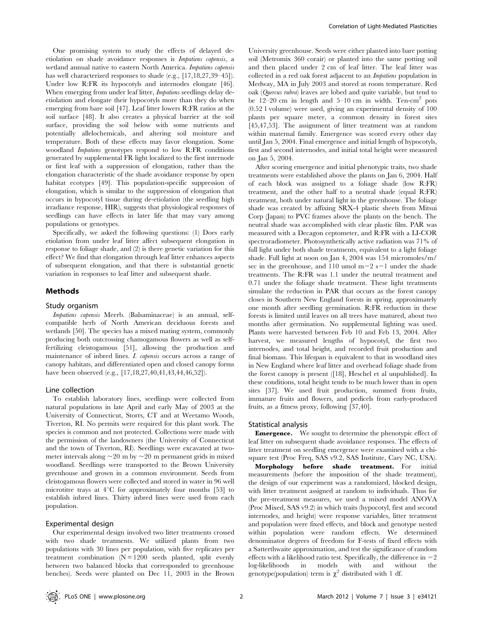One promising system to study the effects of delayed deetiolation on shade avoidance responses is Impatiens capensis, a wetland annual native to eastern North America. Impatiens capensis has well characterized responses to shade (e.g., [17,18,27,39–45]). Under low R:FR its hypocotyls and internodes elongate [46]. When emerging from under leaf litter, *Impatiens* seedlings delay deetiolation and elongate their hypocotyls more than they do when emerging from bare soil [47]. Leaf litter lowers R:FR ratios at the soil surface [48]. It also creates a physical barrier at the soil surface, providing the soil below with some nutrients and potentially allelochemicals, and altering soil moisture and temperature. Both of these effects may favor elongation. Some woodland Impatiens genotypes respond to low R:FR conditions generated by supplemental FR light localized to the first internode or first leaf with a suppression of elongation, rather than the elongation characteristic of the shade avoidance response by open habitat ecotypes [49]. This population-specific suppression of elongation, which is similar to the suppression of elongation that occurs in hypocotyl tissue during de-etiolation (the seedling high irradiance response, HIR), suggests that physiological responses of seedlings can have effects in later life that may vary among populations or genotypes.

Specifically, we asked the following questions: (1) Does early etiolation from under leaf litter affect subsequent elongation in response to foliage shade, and (2) is there genetic variation for this effect? We find that elongation through leaf litter enhances aspects of subsequent elongation, and that there is substantial genetic variation in responses to leaf litter and subsequent shade.

# Methods

#### Study organism

Impatiens capensis Meerb. (Balsaminaceae) is an annual, selfcompatible herb of North American deciduous forests and wetlands [50]. The species has a mixed mating system, commonly producing both outcrossing chamogamous flowers as well as selffertilizing cleistogamous [51], allowing the production and maintenance of inbred lines. I. capensis occurs across a range of canopy habitats, and differentiated open and closed canopy forms have been observed (e.g., [17,18,27,40,41,43,44,46,52]).

#### Line collection

To establish laboratory lines, seedlings were collected from natural populations in late April and early May of 2003 at the University of Connecticut, Storrs, CT and at Weetamo Woods, Tiverton, RI. No permits were required for this plant work. The species is common and not protected. Collections were made with the permission of the landowners (the University of Connecticut and the town of Tiverton, RI). Seedlings were excavated at twometer intervals along  $\sim$  20 m by  $\sim$  20 m permanent grids in mixed woodland. Seedlings were transported to the Brown University greenhouse and grown in a common environment. Seeds from cleistogamous flowers were collected and stored in water in 96 well microtitre trays at  $4^{\circ}$ C for approximately four months [53] to establish inbred lines. Thirty inbred lines were used from each population.

# Experimental design

Our experimental design involved two litter treatments crossed with two shade treatments. We utilized plants from two populations with 30 lines per population, with five replicates per treatment combination  $(N = 1200 \text{ seeds})$  planted, split evenly between two balanced blocks that corresponded to greenhouse benches). Seeds were planted on Dec 11, 2003 in the Brown University greenhouse. Seeds were either planted into bare potting soil (Metromix 360 corair) or planted into the same potting soil and then placed under 2 cm of leaf litter. The leaf litter was collected in a red oak forest adjacent to an Impatiens population in Medway, MA in July 2003 and stored at room temperature. Red oak (Quercus rubra) leaves are lobed and quite variable, but tend to be  $12-20$  cm in length and  $5-10$  cm in width. Ten-cm<sup>2</sup> pots (0.52 l volume) were used, giving an experimental density of 100 plants per square meter, a common density in forest sites [45,47,53]. The assignment of litter treatment was at random within maternal family. Emergence was scored every other day until Jan 5, 2004. Final emergence and initial length of hypocotyls, first and second internodes, and initial total height were measured on Jan 5, 2004.

After scoring emergence and initial phenotypic traits, two shade treatments were established above the plants on Jan 6, 2004. Half of each block was assigned to a foliage shade (low R:FR) treatment, and the other half to a neutral shade (equal R:FR) treatment, both under natural light in the greenhouse. The foliage shade was created by affixing SRX-4 plastic sheets from Mitsui Corp (Japan) to PVC frames above the plants on the bench. The neutral shade was accomplished with clear plastic film. PAR was measured with a Decagon ceptometer, and R:FR with a LI-COR spectroradiometer. Photosynthetically active radiation was 71% of full light under both shade treatments, equivalent to a light foliage shade. Full light at noon on Jan 4, 2004 was 154 micromoles/m/ sec in the greenhouse, and 110 umol  $m-2$  s $-1$  under the shade treatments. The R:FR was 1.1 under the neutral treatment and 0.71 under the foliage shade treatment. These light treatments simulate the reduction in PAR that occurs as the forest canopy closes in Southern New England forests in spring, approximately one month after seedling germination. R:FR reduction in these forests is limited until leaves on all trees have matured, about two months after germination. No supplemental lighting was used. Plants were harvested between Feb 10 and Feb 13, 2004. After harvest, we measured lengths of hypocotyl, the first two internodes, and total height, and recorded fruit production and final biomass. This lifespan is equivalent to that in woodland sites in New England where leaf litter and overhead foliage shade from the forest canopy is present ([18], Heschel et al unpublished]. In these conditions, total height tends to be much lower than in open sites [37]. We used fruit production, summed from fruits, immature fruits and flowers, and pedicels from early-produced fruits, as a fitness proxy, following [37,40].

#### Statistical analysis

**Emergence.** We sought to determine the phenotypic effect of leaf litter on subsequent shade avoidance responses. The effects of litter treatment on seedling emergence were examined with a chisquare test (Proc Freq, SAS v9.2, SAS Institute, Cary NC, USA).

Morphology before shade treatment. For initial measurements (before the imposition of the shade treatment), the design of our experiment was a randomized, blocked design, with litter treatment assigned at random to individuals. Thus for the pre-treatment measures, we used a mixed model ANOVA (Proc Mixed, SAS v9.2) in which traits (hypocotyl, first and second internodes, and height) were response variables, litter treatment and population were fixed effects, and block and genotype nested within population were random effects. We determined denominator degrees of freedom for F-tests of fixed effects with a Satterthwaite approximation, and test the significance of random effects with a likelihood ratio test. Specifically, the difference in  $-2$ log-likelihoods in models with and without the genotype(population) term is  $\chi^2$  distributed with 1 df.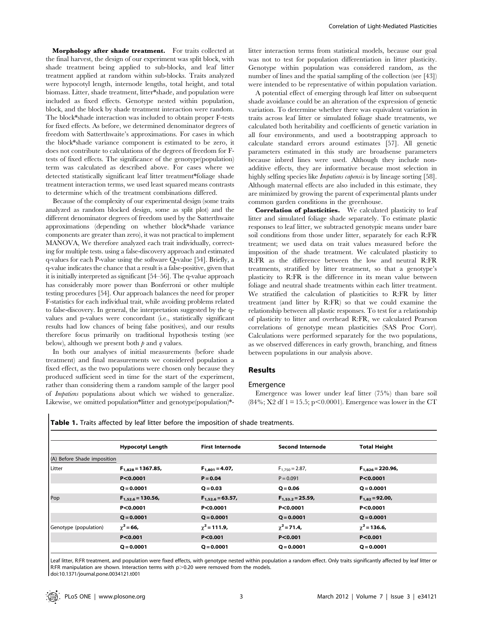Morphology after shade treatment. For traits collected at the final harvest, the design of our experiment was split block, with shade treatment being applied to sub-blocks, and leaf litter treatment applied at random within sub-blocks. Traits analyzed were hypocotyl length, internode lengths, total height, and total biomass. Litter, shade treatment, litter\*shade, and population were included as fixed effects. Genotype nested within population, block, and the block by shade treatment interaction were random. The block\*shade interaction was included to obtain proper F-tests for fixed effects. As before, we determined denominator degrees of freedom with Satterthwaite's approximations. For cases in which the block\*shade variance component is estimated to be zero, it does not contribute to calculations of the degrees of freedom for Ftests of fixed effects. The significance of the genotype(population) term was calculated as described above. For cases where we detected statistically significant leaf litter treatment\*foliage shade treatment interaction terms, we used least squared means contrasts to determine which of the treatment combinations differed.

Because of the complexity of our experimental design (some traits analyzed as random blocked design, some as split plot) and the different denominator degrees of freedom used by the Satterthwaite approximations (depending on whether block\*shade variance components are greater than zero), it was not practical to implement MANOVA, We therefore analyzed each trait individually, correcting for multiple tests. using a false-discovery approach and estimated q-values for each P-value using the software Q-value [54]. Briefly, a q-value indicates the chance that a result is a false-positive, given that it is initially interpreted as significant [54–56]. The q-value approach has considerably more power than Bonferroni or other multiple testing procedures [54]. Our approach balances the need for proper F-statistics for each individual trait, while avoiding problems related to false-discovery. In general, the interpretation suggested by the qvalues and p-values were concordant (i.e., statistically significant results had low chances of being false positives), and our results therefore focus primarily on traditional hypothesis testing (see below), although we present both  $p$  and  $q$  values.

In both our analyses of initial measurements (before shade treatment) and final measurements we considered population a fixed effect, as the two populations were chosen only because they produced sufficient seed in time for the start of the experiment, rather than considering them a random sample of the larger pool of Impatiens populations about which we wished to generalize. Likewise, we omitted population\*litter and genotype(population)\*-

litter interaction terms from statistical models, because our goal was not to test for population differentiation in litter plasticity. Genotype within population was considered random, as the number of lines and the spatial sampling of the collection (see [43]) were intended to be representative of within population variation.

A potential effect of emerging through leaf litter on subsequent shade avoidance could be an alteration of the expression of genetic variation. To determine whether there was equivalent variation in traits across leaf litter or simulated foliage shade treatments, we calculated both heritability and coefficients of genetic variation in all four environments, and used a bootstrapping approach to calculate standard errors around estimates [57]. All genetic parameters estimated in this study are broadsense parameters because inbred lines were used. Although they include nonadditive effects, they are informative because most selection in highly selfing species like Impatiens capensis is by lineage sorting [58]. Although maternal effects are also included in this estimate, they are minimized by growing the parent of experimental plants under common garden conditions in the greenhouse.

Correlation of plasticities. We calculated plasticity to leaf litter and simulated foliage shade separately. To estimate plastic responses to leaf litter, we subtracted genotypic means under bare soil conditions from those under litter, separately for each R:FR treatment; we used data on trait values measured before the imposition of the shade treatment. We calculated plasticity to R:FR as the difference between the low and neutral R:FR treatments, stratified by litter treatment, so that a genotype's plasticity to R:FR is the difference in its mean value between foliage and neutral shade treatments within each litter treatment. We stratified the calculation of plasticities to R:FR by litter treatment (and litter by R:FR) so that we could examine the relationship between all plastic responses. To test for a relationship of plasticity to litter and overhead R:FR, we calculated Pearson correlations of genotype mean plasticities (SAS Proc Corr). Calculations were performed separately for the two populations, as we observed differences in early growth, branching, and fitness between populations in our analysis above.

## Results

#### Emergence

Emergence was lower under leaf litter (75%) than bare soil  $(84\%, X2 \text{ df } 1 = 15.5; p < 0.0001)$ . Emergence was lower in the CT

|                             | <b>Hypocotyl Length</b> | <b>First Internode</b> | <b>Second Internode</b> | <b>Total Height</b>  |
|-----------------------------|-------------------------|------------------------|-------------------------|----------------------|
| (A) Before Shade imposition |                         |                        |                         |                      |
| Litter                      | $F_{1.828} = 1367.85$   | $F_{1.801} = 4.07$ ,   | $F_{1,750} = 2.87$ ,    | $F_{1.826} = 220.96$ |
|                             | P < 0.0001              | $P = 0.04$             | $P = 0.091$             | P < 0.0001           |
|                             | $Q = 0.0001$            | $Q = 0.03$             | $Q = 0.06$              | $Q = 0.0001$         |
| Pop                         | $F_{1,52,6}$ = 130.56,  | $F_{1,52,6} = 63.57$   | $F_{1,53,2} = 25.59$    | $F_{1.82} = 92.00,$  |
|                             | P < 0.0001              | P < 0.0001             | P < 0.0001              | P < 0.0001           |
|                             | $Q = 0.0001$            | $Q = 0.0001$           | $Q = 0.0001$            | $Q = 0.0001$         |
| Genotype (population)       | $\gamma^2$ = 66,        | $\gamma^2$ = 111.9,    | $\chi^2$ = 71.4,        | $\gamma^2$ = 136.6,  |
|                             | P < 0.001               | P < 0.001              | P < 0.001               | P < 0.001            |
|                             | $Q = 0.0001$            | $Q = 0.0001$           | $Q = 0.0001$            | $Q = 0.0001$         |

Leaf litter, R:FR treatment, and population were fixed effects, with genotype nested within population a random effect. Only traits significantly affected by leaf litter or R:FR manipulation are shown. Interaction terms with  $p > 0.20$  were removed from the models. doi:10.1371/journal.pone.0034121.t001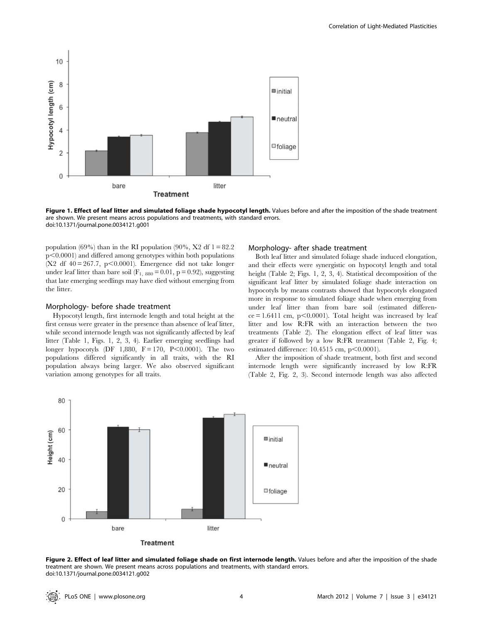

Figure 1. Effect of leaf litter and simulated foliage shade hypocotyl length. Values before and after the imposition of the shade treatment are shown. We present means across populations and treatments, with standard errors. doi:10.1371/journal.pone.0034121.g001

population (69%) than in the RI population (90%, X2 df  $1 = 82.2$ )  $p<0.0001$ ) and differed among genotypes within both populations (X2 df  $40 = 267.7$ , p $< 0.0001$ ). Emergence did not take longer under leaf litter than bare soil  $(F_{1, 880} = 0.01, p = 0.92)$ , suggesting that late emerging seedlings may have died without emerging from the litter.

#### Morphology- before shade treatment

Hypocotyl length, first internode length and total height at the first census were greater in the presence than absence of leaf litter, while second internode length was not significantly affected by leaf litter (Table 1, Figs. 1, 2, 3, 4). Earlier emerging seedlings had longer hypocotyls (DF 1,880,  $F = 170$ ,  $P < 0.0001$ ). The two populations differed significantly in all traits, with the RI population always being larger. We also observed significant variation among genotypes for all traits.

#### Morphology- after shade treatment

Both leaf litter and simulated foliage shade induced elongation, and their effects were synergistic on hypocotyl length and total height (Table 2; Figs. 1, 2, 3, 4). Statistical decomposition of the significant leaf litter by simulated foliage shade interaction on hypocotyls by means contrasts showed that hypocotyls elongated more in response to simulated foliage shade when emerging from under leaf litter than from bare soil (estimated differen $ce = 1.6411$  cm,  $p < 0.0001$ ). Total height was increased by leaf litter and low R:FR with an interaction between the two treatments (Table 2). The elongation effect of leaf litter was greater if followed by a low R:FR treatment (Table 2, Fig. 4; estimated difference:  $10.4515$  cm,  $p<0.0001$ ).

After the imposition of shade treatment, both first and second internode length were significantly increased by low R:FR (Table 2, Fig. 2, 3). Second internode length was also affected



Figure 2. Effect of leaf litter and simulated foliage shade on first internode length. Values before and after the imposition of the shade treatment are shown. We present means across populations and treatments, with standard errors. doi:10.1371/journal.pone.0034121.g002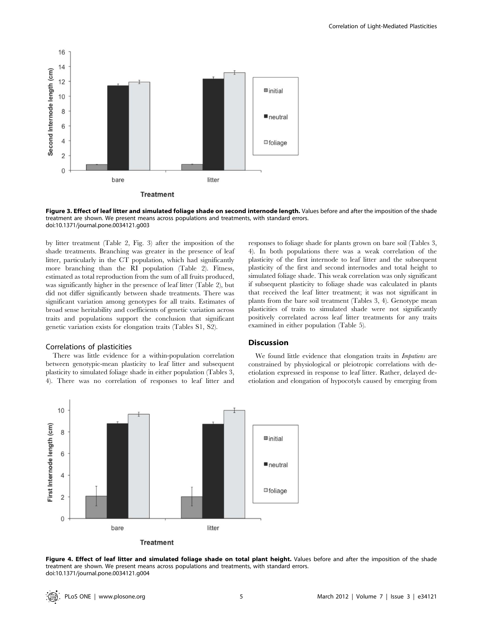

Figure 3. Effect of leaf litter and simulated foliage shade on second internode length. Values before and after the imposition of the shade treatment are shown. We present means across populations and treatments, with standard errors. doi:10.1371/journal.pone.0034121.g003

by litter treatment (Table 2, Fig. 3) after the imposition of the shade treatments. Branching was greater in the presence of leaf litter, particularly in the CT population, which had significantly more branching than the RI population (Table 2). Fitness, estimated as total reproduction from the sum of all fruits produced, was significantly higher in the presence of leaf litter (Table 2), but did not differ significantly between shade treatments. There was significant variation among genotypes for all traits. Estimates of broad sense heritability and coefficients of genetic variation across traits and populations support the conclusion that significant genetic variation exists for elongation traits (Tables S1, S2).

#### Correlations of plasticities

There was little evidence for a within-population correlation between genotypic-mean plasticity to leaf litter and subsequent plasticity to simulated foliage shade in either population (Tables 3, 4). There was no correlation of responses to leaf litter and responses to foliage shade for plants grown on bare soil (Tables 3, 4). In both populations there was a weak correlation of the plasticity of the first internode to leaf litter and the subsequent plasticity of the first and second internodes and total height to simulated foliage shade. This weak correlation was only significant if subsequent plasticity to foliage shade was calculated in plants that received the leaf litter treatment; it was not significant in plants from the bare soil treatment (Tables 3, 4). Genotype mean plasticities of traits to simulated shade were not significantly positively correlated across leaf litter treatments for any traits examined in either population (Table 5).

# **Discussion**

We found little evidence that elongation traits in *Impatiens* are constrained by physiological or pleiotropic correlations with deetiolation expressed in response to leaf litter. Rather, delayed deetiolation and elongation of hypocotyls caused by emerging from



Figure 4. Effect of leaf litter and simulated foliage shade on total plant height. Values before and after the imposition of the shade treatment are shown. We present means across populations and treatments, with standard errors. doi:10.1371/journal.pone.0034121.g004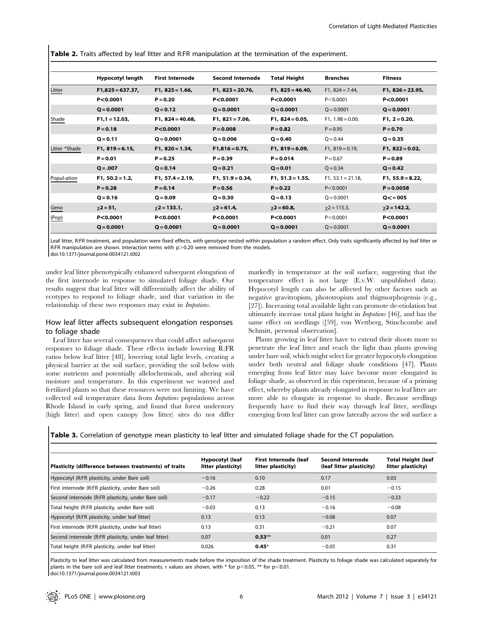|               | <b>Hypocotyl length</b> | <b>First Internode</b> | <b>Second Internode</b> | <b>Total Height</b> | <b>Branches</b>     | <b>Fitness</b>      |
|---------------|-------------------------|------------------------|-------------------------|---------------------|---------------------|---------------------|
| Litter        | $F1,825 = 637.37$       | $F1, 825 = 1.66,$      | $F1.823 = 20.76.$       | $F1, 825 = 46.40,$  | $F1, 824 = 7.44,$   | $F1, 826 = 23.95,$  |
|               | P < 0.0001              | $P = 0.20$             | P < 0.0001              | P < 0.0001          | P < 0.0001          | P < 0.0001          |
|               | $Q = 0.0001$            | $Q = 0.12$             | $Q = 0.0001$            | $Q = 0.0001$        | $Q = 0.0001$        | $Q = 0.0001$        |
| Shade         | $F1,1 = 12.03,$         | $F1, 824 = 40.68,$     | $F1, 821 = 7.06,$       | $F1, 824 = 0.05,$   | $F1, 1.98 = 0.00;$  | $F1, 2 = 0.20,$     |
|               | $P = 0.18$              | P < 0.0001             | $P = 0.008$             | $P = 0.82$          | $P = 0.95$          | $P = 0.70$          |
|               | $Q = 0.11$              | $Q = 0.0001$           | $Q = 0.006$             | $Q = 0.40$          | $Q = 0.44$          | $Q = 0.35$          |
| Litter *Shade | $F1, 819 = 6.15,$       | $F1, 820 = 1.34,$      | $F1,816 = 0.75$         | $F1, 819 = 6.09,$   | $F1, 819 = 0.19$    | $F1, 822 = 0.02,$   |
|               | $P = 0.01$              | $P = 0.25$             | $P = 0.39$              | $P = 0.014$         | $P = 0.67$          | $P = 0.89$          |
|               | $Q = .007$              | $Q = 0.14$             | $Q = 0.21$              | $Q = 0.01$          | $Q = 0.34$          | $Q = 0.42$          |
| Popul-ation   | $F1, 50.2 = 1.2,$       | $F1, 57.4 = 2.19,$     | $F1, 51.9 = 0.34,$      | $F1, 51.3 = 1.55,$  | $F1, 53.1 = 21.18$  | $F1, 55.9 = 8.22,$  |
|               | $P = 0.28$              | $P = 0.14$             | $P = 0.56$              | $P = 0.22$          | P < 0.0001          | $P = 0.0058$        |
|               | $Q = 0.16$              | $Q = 0.09$             | $Q = 0.30$              | $Q = 0.13$          | $Q = 0.0001$        | $Q \le 005$         |
| Geno          | $\chi$ 2 = 51,          | $\gamma$ 2 = 133.1,    | $\gamma$ 2 = 61.4,      | $\gamma$ 2 = 60.8,  | $\gamma$ 2 = 115.3, | $\gamma$ 2 = 142.2, |
| (Pop)         | P < 0.0001              | P < 0.0001             | P < 0.0001              | P < 0.0001          | P < 0.0001          | P < 0.0001          |
|               | $Q = 0.0001$            | $Q = 0.0001$           | $Q = 0.0001$            | $Q = 0.0001$        | $Q = 0.0001$        | $Q = 0.0001$        |

Table 2. Traits affected by leaf litter and R:FR manipulation at the termination of the experiment.

Leaf litter, R:FR treatment, and population were fixed effects, with genotype nested within population a random effect. Only traits significantly affected by leaf litter or  $R$ :FR manipulation are shown. Interaction terms with  $p > 0.20$  were removed from the models.

doi:10.1371/journal.pone.0034121.t002

under leaf litter phenotypically enhanced subsequent elongation of the first internode in response to simulated foliage shade. Our results suggest that leaf litter will differentially affect the ability of ecotypes to respond to foliage shade, and that variation in the relationship of these two responses may exist in Impatiens.

# How leaf litter affects subsequent elongation responses to foliage shade

Leaf litter has several consequences that could affect subsequent responses to foliage shade. These effects include lowering R:FR ratios below leaf litter [48], lowering total light levels, creating a physical barrier at the soil surface, providing the soil below with some nutrients and potentially allelochemicals, and altering soil moisture and temperature. In this experiment we watered and fertilized plants so that these resources were not limiting. We have collected soil temperature data from Impatiens populations across Rhode Island in early spring, and found that forest understory (high litter) and open canopy (low litter) sites do not differ markedly in temperature at the soil surface, suggesting that the temperature effect is not large (E.v.W. unpublished data). Hypocotyl length can also be affected by other factors such as negative gravitropism, phototropism and thigmorphogensis (e.g., [27]). Increasing total available light can promote de-etiolation but ultimately increase total plant height in Impatiens [46], and has the same effect on seedlings ([59], von Wettberg, Stinchcombe and Schmitt, personal observation].

Plants growing in leaf litter have to extend their shoots more to penetrate the leaf litter and reach the light than plants growing under bare soil, which might select for greater hypocotyls elongation under both neutral and foliage shade conditions [47]. Plants emerging from leaf litter may have become more elongated in foliage shade, as observed in this experiment, because of a priming effect, whereby plants already elongated in response to leaf litter are more able to elongate in response to shade. Because seedlings frequently have to find their way through leaf litter, seedlings emerging from leaf litter can grow laterally across the soil surface a

Table 3. Correlation of genotype mean plasticity to leaf litter and simulated foliage shade for the CT population.

| Plasticity (difference between treatments) of traits  | Hypocotyl (leaf<br>litter plasticity) | First Internode (leaf<br>litter plasticity) | Second Internode<br>(leaf litter plasticity) | <b>Total Height (leaf</b><br>litter plasticity) |
|-------------------------------------------------------|---------------------------------------|---------------------------------------------|----------------------------------------------|-------------------------------------------------|
| Hypocotyl (R:FR plasticity, under Bare soil)          | $-0.16$                               | 0.10                                        | 0.17                                         | 0.03                                            |
| First internode (R:FR plasticity, under Bare soil)    | $-0.26$                               | 0.28                                        | 0.01                                         | $-0.15$                                         |
| Second internode (R:FR plasticity, under Bare soil)   | $-0.17$                               | $-0.22$                                     | $-0.15$                                      | $-0.33$                                         |
| Total height (R:FR plasticity, under Bare soil)       | $-0.03$                               | 0.13                                        | $-0.16$                                      | $-0.08$                                         |
| Hypocotyl (R:FR plasticity, under leaf litter)        | 0.13                                  | 0.13                                        | $-0.08$                                      | 0.07                                            |
| First internode (R:FR plasticity, under leaf litter)  | 0.13                                  | 0.31                                        | $-0.21$                                      | 0.07                                            |
| Second internode (R:FR plasticity, under leaf litter) | 0.07                                  | $0.53***$                                   | 0.01                                         | 0.27                                            |
| Total height (R:FR plasticity, under leaf litter)     | 0.026                                 | $0.45*$                                     | $-0.05$                                      | 0.31                                            |

Plasticity to leaf litter was calculated from measurements made before the imposition of the shade treatment. Plasticity to foliage shade was calculated separately for plants in the bare soil and leaf litter treatments. r values are shown, with  $*$  for p $<$ 0.05,  $**$  for p $<$ 0.01. doi:10.1371/journal.pone.0034121.t003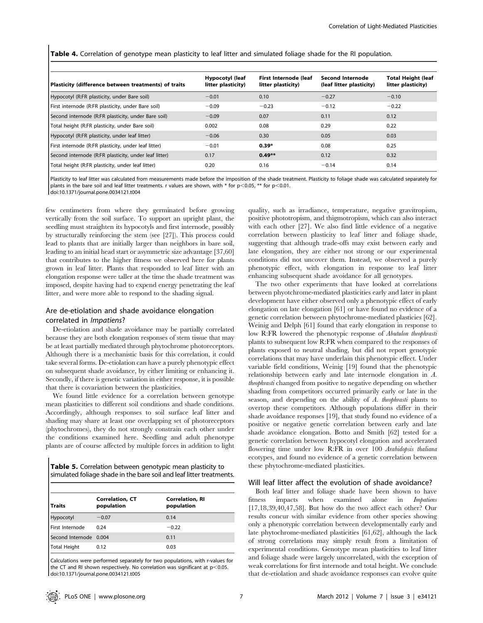Table 4. Correlation of genotype mean plasticity to leaf litter and simulated foliage shade for the RI population.

| Plasticity (difference between treatments) of traits  | Hypocotyl (leaf<br>litter plasticity) | First Internode (leaf<br>litter plasticity) | <b>Second Internode</b><br>(leaf litter plasticity) | <b>Total Height (leaf</b><br>litter plasticity) |
|-------------------------------------------------------|---------------------------------------|---------------------------------------------|-----------------------------------------------------|-------------------------------------------------|
| Hypocotyl (R:FR plasticity, under Bare soil)          | $-0.01$                               | 0.10                                        | $-0.27$                                             | $-0.10$                                         |
| First internode (R:FR plasticity, under Bare soil)    | $-0.09$                               | $-0.23$                                     | $-0.12$                                             | $-0.22$                                         |
| Second internode (R:FR plasticity, under Bare soil)   | $-0.09$                               | 0.07                                        | 0.11                                                | 0.12                                            |
| Total height (R:FR plasticity, under Bare soil)       | 0.002                                 | 0.08                                        | 0.29                                                | 0.22                                            |
| Hypocotyl (R:FR plasticity, under leaf litter)        | $-0.06$                               | 0.30                                        | 0.05                                                | 0.03                                            |
| First internode (R:FR plasticity, under leaf litter)  | $-0.01$                               | $0.39*$                                     | 0.08                                                | 0.25                                            |
| Second internode (R:FR plasticity, under leaf litter) | 0.17                                  | $0.49**$                                    | 0.12                                                | 0.32                                            |
| Total height (R:FR plasticity, under leaf litter)     | 0.20                                  | 0.16                                        | $-0.14$                                             | 0.14                                            |

Plasticity to leaf litter was calculated from measurements made before the imposition of the shade treatment. Plasticity to foliage shade was calculated separately for plants in the bare soil and leaf litter treatments. r values are shown, with  $*$  for p<0.05,  $**$  for p<0.01.

doi:10.1371/journal.pone.0034121.t004

few centimeters from where they germinated before growing vertically from the soil surface. To support an upright plant, the seedling must straighten its hypocotyls and first internode, possibly by structurally reinforcing the stem (see [27]). This process could lead to plants that are initially larger than neighbors in bare soil, leading to an initial head start or asymmetric size advantage [37,60] that contributes to the higher fitness we observed here for plants grown in leaf litter. Plants that responded to leaf litter with an elongation response were taller at the time the shade treatment was imposed, despite having had to expend energy penetrating the leaf litter, and were more able to respond to the shading signal.

## Are de-etiolation and shade avoidance elongation correlated in Impatiens?

De-etiolation and shade avoidance may be partially correlated because they are both elongation responses of stem tissue that may be at least partially mediated through phytochrome photoreceptors. Although there is a mechanistic basis for this correlation, it could take several forms. De-etiolation can have a purely phenotypic effect on subsequent shade avoidance, by either limiting or enhancing it. Secondly, if there is genetic variation in either response, it is possible that there is covariation between the plasticities.

We found little evidence for a correlation between genotype mean plasticities to different soil conditions and shade conditions. Accordingly, although responses to soil surface leaf litter and shading may share at least one overlapping set of photoreceptors (phytochromes), they do not strongly constrain each other under the conditions examined here. Seedling and adult phenotype plants are of course affected by multiple forces in addition to light

| Table 5. Correlation between genotypic mean plasticity to            |  |
|----------------------------------------------------------------------|--|
| simulated foliage shade in the bare soil and leaf litter treatments. |  |

| <b>Traits</b>          | <b>Correlation, CT</b><br>population | <b>Correlation, RI</b><br>population |
|------------------------|--------------------------------------|--------------------------------------|
| Hypocotyl              | $-0.07$                              | 0.14                                 |
| First Internode        | 0.24                                 | $-0.22$                              |
| Second Internode 0.004 |                                      | 0.11                                 |
| Total Height           | 0.12                                 | 0.03                                 |

Calculations were performed separately for two populations, with r-values for the CT and RI shown respectively. No correlation was significant at  $p<0.05$ . doi:10.1371/journal.pone.0034121.t005

quality, such as irradiance, temperature, negative gravitropism, positive phototropism, and thigmotropism, which can also interact with each other [27]. We also find little evidence of a negative correlation between plasticity to leaf litter and foliage shade, suggesting that although trade-offs may exist between early and late elongation, they are either not strong or our experimental conditions did not uncover them. Instead, we observed a purely phenotypic effect, with elongation in response to leaf litter enhancing subsequent shade avoidance for all genotypes.

The two other experiments that have looked at correlations between phyotchrome-mediated plasticities early and later in plant development have either observed only a phenotypic effect of early elongation on late elongation [61] or have found no evidence of a genetic correlation between phytochrome-mediated plasticies [62]. Weinig and Delph [61] found that early elongation in response to low R:FR lowered the phenotypic response of Abutulon theophrasti plants to subsequent low R:FR when compared to the responses of plants exposed to neutral shading, but did not report genotypic correlations that may have underlain this phenotypic effect. Under variable field conditions, Weinig [19] found that the phenotypic relationship between early and late internode elongation in A. theophrasti changed from positive to negative depending on whether shading from competitors occurred primarily early or late in the season, and depending on the ability of A. theophrasti plants to overtop these competitors. Although populations differ in their shade avoidance responses [19], that study found no evidence of a positive or negative genetic correlation between early and late shade avoidance elongation. Botto and Smith [62] tested for a genetic correlation between hypocotyl elongation and accelerated flowering time under low R:FR in over 100 Arabidopsis thaliana ecotypes, and found no evidence of a genetic correlation between these phytochrome-mediated plasticities.

#### Will leaf litter affect the evolution of shade avoidance?

Both leaf litter and foliage shade have been shown to have fitness impacts when examined alone in Impatiens [17,18,39,40,47,58]. But how do the two affect each other? Our results concur with similar evidence from other species showing only a phenotypic correlation between developmentally early and late phytochrome-mediated plasticities [61,62], although the lack of strong correlations may simply result from a limitation of experimental conditions. Genotype mean plasticities to leaf litter and foliage shade were largely uncorrelated, with the exception of weak correlations for first internode and total height. We conclude that de-etiolation and shade avoidance responses can evolve quite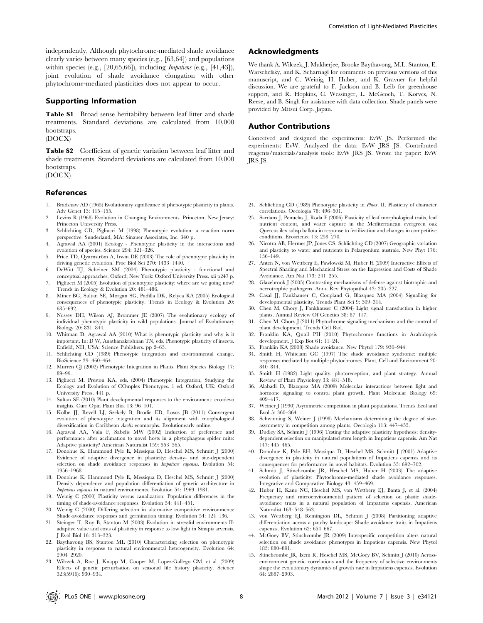independently. Although phytochrome-mediated shade avoidance clearly varies between many species (e.g., [63,64]) and populations within species (e.g., [20,65,66]), including *Impatiens* (e.g., [41,43]), joint evolution of shade avoidance elongation with other phytochrome-mediated plasticities does not appear to occur.

#### Supporting Information

Table S1 Broad sense heritability between leaf litter and shade treatments. Standard deviations are calculated from 10,000 bootstraps. (DOCX)

Table S2 Coefficient of genetic variation between leaf litter and shade treatments. Standard deviations are calculated from 10,000 bootstraps.

(DOCX)

# References

- 1. Bradshaw AD (1965) Evolutionary significance of phenotypic plasticity in plants. Adv Genet 13: 115–155.
- 2. Levins R (1968) Evolution in Changing Environments. Princeton, New Jersey: Princeton University Press.
- 3. Schlichting CD, Pigliucci M (1998) Phenotypic evolution: a reaction norm perspective. Sunderland, MA: Sinauer Associates, Inc. 340 p.
- 4. Agrawal AA (2001) Ecology Phenotypic plasticity in the interactions and evolution of species. Science 294: 321–326.
- 5. Price TD, Qvarnström A, Irwin DE (2003) The role of phenotypic plasticity in driving genetic evolution. Proc Biol Sci 270: 1433–1440.
- 6. DeWitt TJ, Scheiner SM (2004) Phenotypic plasticity : functional and conceptual approaches. Oxford; New York: Oxford University Press. xii p247 p.
- 7. Pigliucci M (2005) Evolution of phenotypic plasticity: where are we going now? Trends in Ecology & Evolution 20: 481–486.
- 8. Miner BG, Sultan SE, Morgan SG, Padilla DK, Relyea RA (2005) Ecological consequences of phenotypic plasticity. Trends in Ecology & Evolution 20: 685–692.
- 9. Nussey DH, Wilson AJ, Brommer JE (2007) The evolutionary ecology of individual phenotypic plasticity in wild populations. Journal of Evolutionary Biology 20: 831–844.
- 10. Whitman D, Agrawal AA (2010) What is phenotypic plasticity and why is it important. In:  $\bar{\rm D}$  W, Anathanakrishnan TN, eds. Phenotypic plasticity of insects. Enfield, NH, USA: Science Publishers. pp 2–63.
- 11. Schlichting CD (1989) Phenotypic integration and environmental change. BioScience 39: 460–464.
- 12. Murren CJ (2002) Phenotypic Integration in Plants. Plant Species Biology 17: 89–99.
- 13. Pigliucci M, Preston KA, eds. (2004) Phenotypic Integration, Studying the Ecology and Evolution of COmplex Phenotypes. 1 ed. Oxford, UK: Oxford University Press. 441 p.
- 14. Sultan SE (2010) Plant developmental responses to the environment: eco-devo insights. Curr Opin Plant Biol 13: 96–101.
- 15. Kolbe JJ, Revell LJ, Szekely B, Brodie ED, Losos JB (2011) Convergent evolution of phenotypic integration and its alignment with morphological diversification in Caribbean Anolis ecomorphs. Evolutionearly online.
- 16. Agrawal AA, Vala F, Sabelis MW (2002) Induction of preference and performance after acclimation to novel hosts in a phytophagous spider mite: Adaptive plasticity? American Naturalist 159: 553–565.
- 17. Donohue K, Hammond Pyle E, Messiqua D, Heschel MS, Schmitt J (2000) Evidence of adaptive divergence in plasticity: density- and site-dependent selection on shade avoidance responses in Impatiens capensis. Evolution 54: 1956–1968.
- 18. Donohue K, Hammond Pyle E, Messiqua D, Heschel MS, Schmitt J (2000) Density dependence and population differentiation of genetic architecture in Impatiens capensis in natural environments. Evolution 54: 1969–1981.
- 19. Weinig C (2000) Plasticity versus canalization: Population differences in the timing of shade-avoidance responses. Evolution 54: 441–451.
- 20. Weinig C (2000) Differing selection in alternative competitive environments: Shade-avoidance responses and germination timing. Evolution 54: 124–136.
- 21. Steinger T, Roy B, Stanton M (2003) Evolution in stressful environments II: adaptive value and costs of plasticity in response to low light in Sinapis arvensis. J Evol Biol 16: 313–323.
- 22. Baythavong BS, Stanton ML (2010) Characterizing selection on phenotypic plasticity in response to natural environmental heterogeneity. Evolution 64: 2904–2920.
- 23. Wilczek A, Roe J, Knapp M, Cooper M, Lopez-Gallego CM, et al. (2009) Effects of genetic perturbation on seasonal life history plasticity. Science 323(5916): 930–934.

# Acknowledgments

We thank A. Wilczek, J. Mukherjee, Brooke Baythavong, M.L. Stanton, E. Warschefsky, and K. Scharnagl for comments on previous versions of this manuscript, and C. Weinig, H. Huber, and K. Gravuer for helpful discussion. We are grateful to F. Jackson and B. Leib for greenhouse support, and R. Hopkins, C. Wessinger, L. McGeoch, T. Korves, N. Reese, and B. Singh for assistance with data collection. Shade panels were provided by Mitsui Corp. Japan.

#### Author Contributions

Conceived and designed the experiments: EvW JS. Performed the experiments: EvW. Analyzed the data: EvW JRS JS. Contributed reagents/materials/analysis tools: EvW JRS JS. Wrote the paper: EvW JRS JS.

- 24. Schlichting CD (1989) Phenotypic plasticity in Phlox. II. Plasticity of character correlations. Oecologia 78: 496–501.
- 25. Sardans J, Penuelas J, Roda F (2006) Plasticity of leaf morphological traits, leaf nutrient content, and water capture in the Mediterranean evergreen oak Quercus ilex subsp ballota in response to fertilization and changes in competitive conditions. Ecoscience 13: 258–270.
- 26. Nicotra AB, Hermes JP, Jones CS, Schlichting CD (2007) Geographic variation and plasticity to water and nutrients in Pelargonium australe. New Phyt 176: 136–149.
- 27. Anten N, von Wettberg E, Pawlowski M, Huber H (2009) Interactive Effects of Spectral Shading and Mechanical Stress on the Expression and Costs of Shade Avoidance. Am Nat 173: 241–255.
- 28. Glazebrook J (2005) Contrasting mechanisms of defense against biotrophic and necrotrophic pathogens. Annu Rev Phytopathol 43: 205–227.
- 29. Casal JI, Fankhauser C, Coupland G, Blázquez MA (2004) Signalling for developmental plasticity. Trends Plant Sci 9: 309–314.
- 30. Chen M, Chory J, Fankhauser C (2004) Light signal transduction in higher plants. Annual Review Of Genetics 38: 87–117.
- 31. Chen M, Chory J (2011) Phytochrome signaling mechanisms and the control of plant development. Trends Cell Biol.
- 32. Franklin KA, Quail PH (2010) Phytochrome functions in Arabidopsis development. J Exp Bot 61: 11–24.
- 33. Franklin KA (2008) Shade avoidance. New Phytol 179: 930–944.
- 34. Smith H, Whitelam GC (1997) The shade avoidance syndrome: multiple responses mediated by multiple phytochromes. Plant, Cell and Environment 20: 840–844.
- 35. Smith H (1982) Light quality, photoreception, and plant strategy. Annual Review of Plant Physiology 33: 481–518.
- 36. Alabadi D, Blazquez MA (2009) Molecular interactions between light and hormone signaling to control plant growth. Plant Molecular Biology 69: 409–417.
- 37. Weiner J (1990) Asymmetric competition in plant populations. Trends Ecol and Evol 5: 360–364.
- 38. Schwinning S, Weiner J (1998) Mechanisms determining the degree of sizeasymmetry in competition among plants. Oecologia 113: 447–455.
- 39. Dudley SA, Schmitt J (1996) Testing the adaptive plasticity hypothesis: densitydependent selection on manipulated stem length in Impatiens capensis. Am Nat 147: 445–465.
- 40. Donohue K, Pyle EH, Messiqua D, Heschel MS, Schmitt J (2001) Adaptive divergence in plasticity in natural populations of Impatiens capensis and its consequences for performance in novel habitats. Evolution 55: 692–702.
- 41. Schmitt J, Stinchcombe JR, Heschel MS, Huber H (2003) The adaptive evolution of plasticity: Phytochrome-mediated shade avoidance responses. Integrative and Comparative Biology 43: 459–469.
- 42. Huber H, Kane NC, Heschel MS, von Wettberg EJ, Banta J, et al. (2004) Frequency and microenvironmental pattern of selection on plastic shadeavoidance traits in a natural population of Impatiens capensis. American Naturalist 163: 548–563.
- 43. von Wettberg EJ, Remington DL, Schmitt J (2008) Partitioning adaptive differentiation across a patchy landscape: Shade avoidance traits in Impatiens capensis. Evolution 62: 654–667.
- 44. McGoey BV, Stinchcombe JR (2009) Interspecific competition alters natural selection on shade avoidance phenotypes in Impatiens capensis. New Phytol 183: 880–891.
- 45. Stinchcombe JR, Izem R, Heschel MS, McGoey BV, Schmitt J (2010) Acrossenvironment genetic correlations and the frequency of selective environments shape the evolutionary dynamics of growth rate in Impatiens capensis. Evolution 64: 2887–2903.